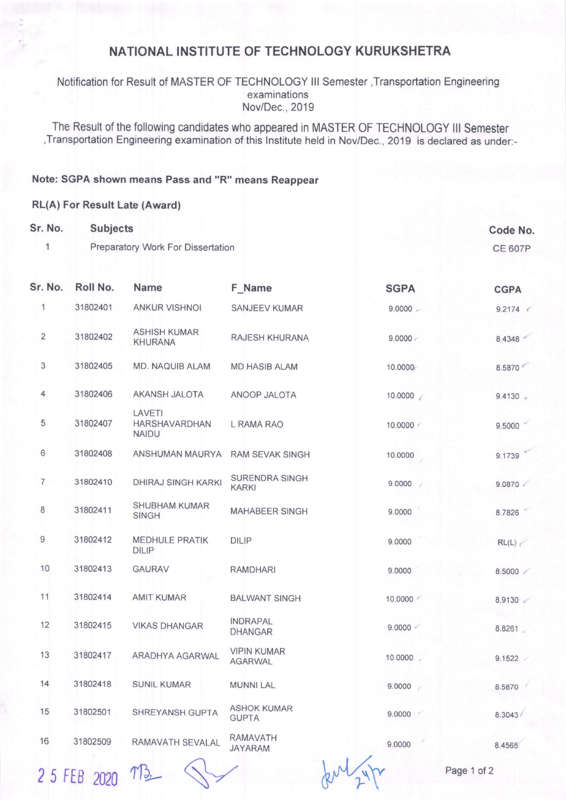## NATIONAL INSTITUTE OF TECHNOLOGY KURUKSHETRA

Notification for Result of MASTER OF TECHNOLOGY lll Semester ,Transportation Engineering examinations Nov/Dec.,2019

The Result of the following candidates who appeared in MASTER OF TECHNOLOGY lll Semester ,Transportation Engineering examination of this lnstitute held in Nov/Dec., 2019 is declared as under:-

## Note: SGPA shown means Pass and "R" means Reappear

## RL(A) For Result Late (Award)

| Sr. No.        | <b>Subjects</b><br>Preparatory Work For Dissertation |                                         |                                       |             | Code No.<br><b>CE 607P</b> |
|----------------|------------------------------------------------------|-----------------------------------------|---------------------------------------|-------------|----------------------------|
| 1              |                                                      |                                         |                                       |             |                            |
| Sr. No.        | Roll No.                                             | <b>Name</b>                             | F_Name                                | <b>SGPA</b> | <b>CGPA</b>                |
| 1              | 31802401                                             | <b>ANKUR VISHNOI</b>                    | <b>SANJEEV KUMAR</b>                  | $9.0000 -$  | $9.2174$ <                 |
| $\overline{2}$ | 31802402                                             | <b>ASHISH KUMAR</b><br><b>KHURANA</b>   | RAJESH KHURANA                        | $9.0000 -$  | 8.4348                     |
| 3              | 31802405                                             | MD. NAQUIB ALAM                         | <b>MD HASIB ALAM</b>                  | 10.0000     | 8.5870                     |
| 4              | 31802406                                             | AKANSH JALOTA                           | ANOOP JALOTA                          | 10.0000     | $9.4130 -$                 |
| 5              | 31802407                                             | LAVETI<br>HARSHAVARDHAN<br><b>NAIDU</b> | L RAMA RAO                            | 10.0000     | 9.5000                     |
| 6              | 31802408                                             | ANSHUMAN MAURYA                         | <b>RAM SEVAK SINGH</b>                | 10.0000     | 9.1739                     |
| $\overline{7}$ | 31802410                                             | DHIRAJ SINGH KARKI                      | <b>SURENDRA SINGH</b><br><b>KARKI</b> | 9.0000      | 9.0870                     |
| $\bf 8$        | 31802411                                             | <b>SHUBHAM KUMAR</b><br><b>SINGH</b>    | <b>MAHABEER SINGH</b>                 | 9.0000      | 8.7826                     |
| 9              | 31802412                                             | <b>MEDHULE PRATIK</b><br><b>DILIP</b>   | <b>DILIP</b>                          | 9.0000      | RL(L)                      |
| 10             | 31802413                                             | <b>GAURAV</b>                           | <b>RAMDHARI</b>                       | 9.0000      | 8.5000                     |
| 11             | 31802414                                             | <b>AMIT KUMAR</b>                       | <b>BALWANT SINGH</b>                  | 10.0000     | 8.9130                     |
| 12             | 31802415                                             | <b>VIKAS DHANGAR</b>                    | <b>INDRAPAL</b><br><b>DHANGAR</b>     | 9.0000 <    | 8.8261                     |
| 13             | 31802417                                             | ARADHYA AGARWAL                         | <b>VIPIN KUMAR</b><br><b>AGARWAL</b>  | 10.0000     | 9.1522                     |
| 14             | 31802418                                             | <b>SUNIL KUMAR</b>                      | <b>MUNNI LAL</b>                      | 9.0000      | 8.5870                     |
| 15             | 31802501                                             | SHREYANSH GUPTA                         | <b>ASHOK KUMAR</b><br><b>GUPTA</b>    | 9.0000      | 8.3043/                    |
| 16             | 31802509                                             | RAMAVATH SEVALAL                        | <b>RAMAVATH</b><br><b>JAYARAM</b>     | 9.0000      | 8.4565                     |
|                |                                                      |                                         |                                       |             |                            |

 $25$  FEB 2020  $M_{2}$  S-/ here  $\mu$  and  $\mu$  Page 1 of 2